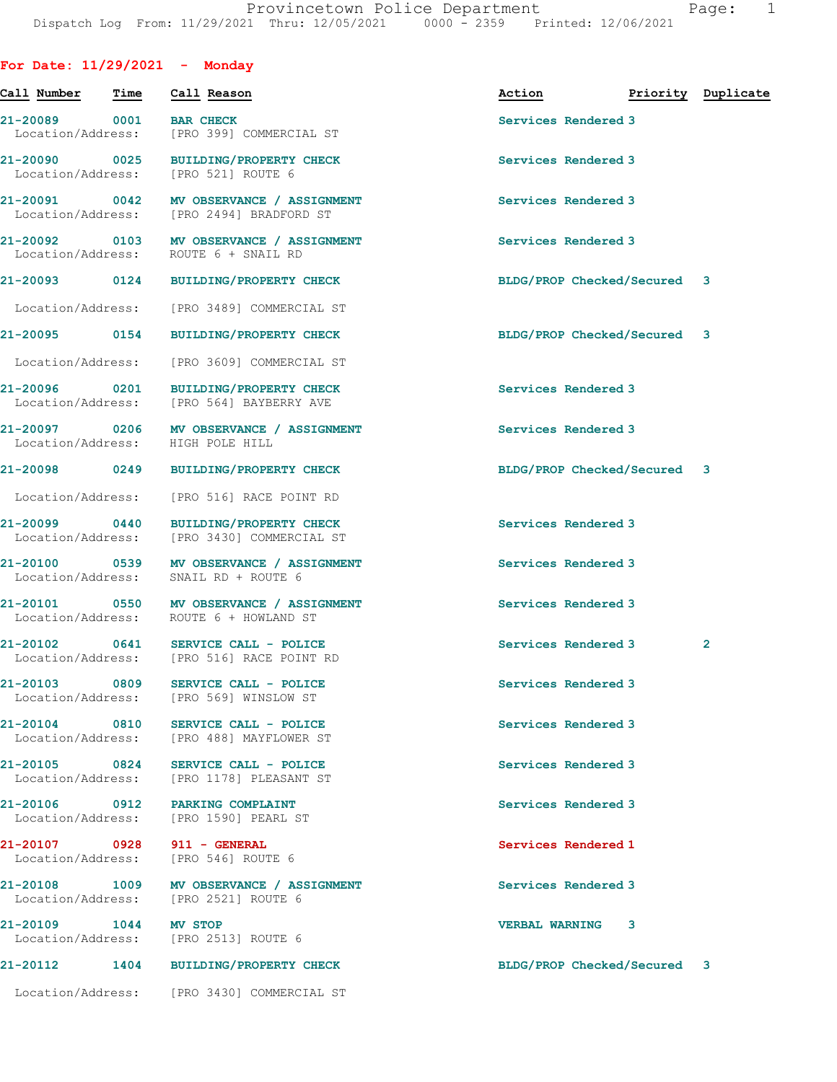For Date: 11/29/2021 - Monday

| Call Number                        | Time | Call Reason                                                                          | Action                      | Priority Duplicate |   |
|------------------------------------|------|--------------------------------------------------------------------------------------|-----------------------------|--------------------|---|
| 21-20089 0001<br>Location/Address: |      | <b>BAR CHECK</b><br>[PRO 399] COMMERCIAL ST                                          | Services Rendered 3         |                    |   |
|                                    |      | 21-20090 0025 BUILDING/PROPERTY CHECK<br>Location/Address: [PRO 521] ROUTE 6         | Services Rendered 3         |                    |   |
|                                    |      | 21-20091 0042 MV OBSERVANCE / ASSIGNMENT<br>Location/Address: [PRO 2494] BRADFORD ST | Services Rendered 3         |                    |   |
|                                    |      | 21-20092 0103 MV OBSERVANCE / ASSIGNMENT<br>Location/Address: ROUTE 6 + SNAIL RD     | Services Rendered 3         |                    |   |
|                                    |      | 21-20093 0124 BUILDING/PROPERTY CHECK                                                | BLDG/PROP Checked/Secured 3 |                    |   |
| Location/Address:                  |      | [PRO 3489] COMMERCIAL ST                                                             |                             |                    |   |
|                                    |      | 21-20095 0154 BUILDING/PROPERTY CHECK                                                | BLDG/PROP Checked/Secured 3 |                    |   |
| Location/Address:                  |      | [PRO 3609] COMMERCIAL ST                                                             |                             |                    |   |
|                                    |      | 21-20096 0201 BUILDING/PROPERTY CHECK<br>Location/Address: [PRO 564] BAYBERRY AVE    | Services Rendered 3         |                    |   |
|                                    |      | 21-20097 0206 MV OBSERVANCE / ASSIGNMENT<br>Location/Address: HIGH POLE HILL         | Services Rendered 3         |                    |   |
| 21-20098 0249                      |      | BUILDING/PROPERTY CHECK                                                              | BLDG/PROP Checked/Secured 3 |                    |   |
| Location/Address:                  |      | [PRO 516] RACE POINT RD                                                              |                             |                    |   |
| 21-20099 0440                      |      | <b>BUILDING/PROPERTY CHECK</b><br>Location/Address: [PRO 3430] COMMERCIAL ST         | Services Rendered 3         |                    |   |
| 21-20100 0539                      |      | MV OBSERVANCE / ASSIGNMENT<br>Location/Address: SNAIL RD + ROUTE 6                   | Services Rendered 3         |                    |   |
|                                    |      | 21-20101 0550 MV OBSERVANCE / ASSIGNMENT<br>Location/Address: ROUTE 6 + HOWLAND ST   | Services Rendered 3         |                    |   |
|                                    |      | 21-20102 0641 SERVICE CALL - POLICE<br>Location/Address: [PRO 516] RACE POINT RD     | Services Rendered 3         |                    | 2 |
| 21-20103                           | 0809 | SERVICE CALL - POLICE<br>Location/Address: [PRO 569] WINSLOW ST                      | Services Rendered 3         |                    |   |
|                                    |      | 21-20104 0810 SERVICE CALL - POLICE<br>Location/Address: [PRO 488] MAYFLOWER ST      | Services Rendered 3         |                    |   |
| 21-20105 0824                      |      | SERVICE CALL - POLICE<br>Location/Address: [PRO 1178] PLEASANT ST                    | Services Rendered 3         |                    |   |
| 21-20106 0912                      |      | PARKING COMPLAINT<br>Location/Address: [PRO 1590] PEARL ST                           | Services Rendered 3         |                    |   |
| 21-20107 0928                      |      | 911 - GENERAL<br>Location/Address: [PRO 546] ROUTE 6                                 | Services Rendered 1         |                    |   |
|                                    |      | 21-20108 1009 MV OBSERVANCE / ASSIGNMENT<br>Location/Address: [PRO 2521] ROUTE 6     | Services Rendered 3         |                    |   |
| 21-20109 1044                      |      | MV STOP<br>Location/Address: [PRO 2513] ROUTE 6                                      | <b>VERBAL WARNING</b>       | 3                  |   |
| 21-20112                           |      | 1404 BUILDING/PROPERTY CHECK                                                         | BLDG/PROP Checked/Secured 3 |                    |   |
|                                    |      | Location/Address: [PRO 3430] COMMERCIAL ST                                           |                             |                    |   |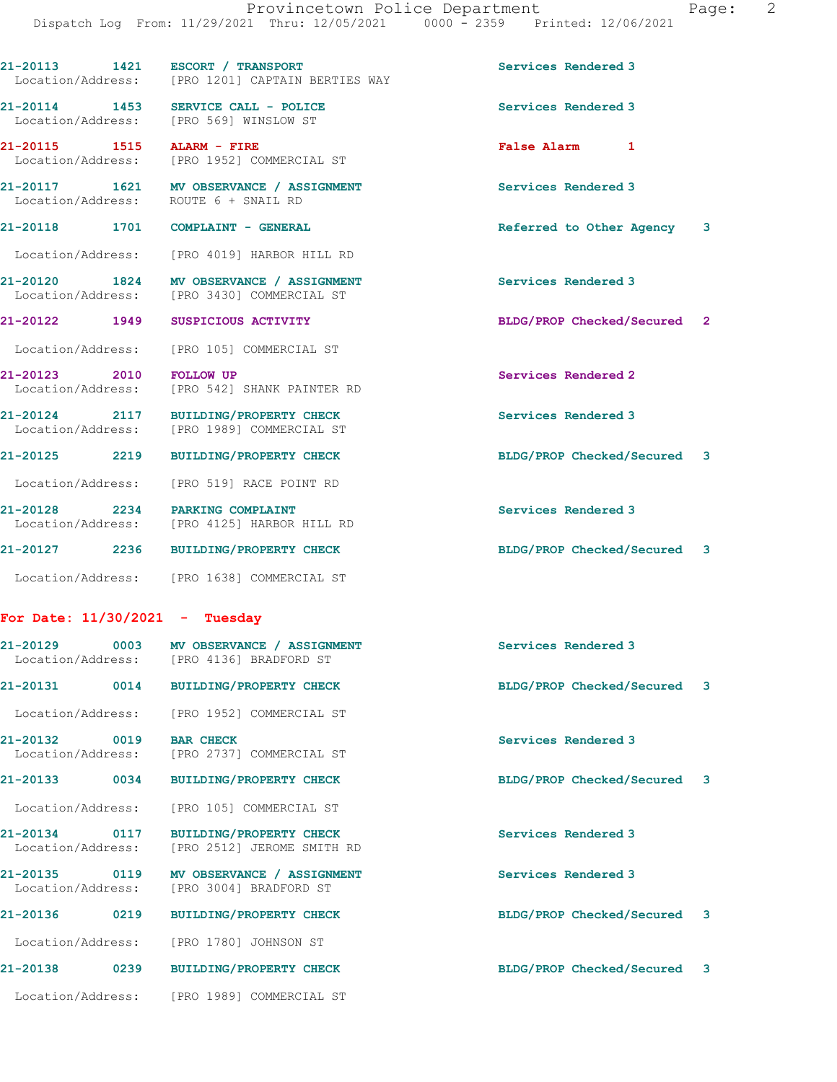21-20113 1421 ESCORT / TRANSPORT Services Rendered 3

|                                         | Location/Address: [PRO 1201] CAPTAIN BERTIES WAY                                       |                             |  |
|-----------------------------------------|----------------------------------------------------------------------------------------|-----------------------------|--|
|                                         | 21-20114 1453 SERVICE CALL - POLICE<br>Location/Address: [PRO 569] WINSLOW ST          | Services Rendered 3         |  |
| 21-20115 1515 ALARM - FIRE              | Location/Address: [PRO 1952] COMMERCIAL ST                                             | False Alarm 1               |  |
| Location/Address: ROUTE 6 + SNAIL RD    | 21-20117 1621 MV OBSERVANCE / ASSIGNMENT                                               | Services Rendered 3         |  |
| 21-20118    1701    COMPLAINT - GENERAL |                                                                                        | Referred to Other Agency 3  |  |
|                                         | Location/Address: [PRO 4019] HARBOR HILL RD                                            |                             |  |
|                                         | 21-20120 1824 MV OBSERVANCE / ASSIGNMENT<br>Location/Address: [PRO 3430] COMMERCIAL ST | Services Rendered 3         |  |
| 21-20122 1949 SUSPICIOUS ACTIVITY       |                                                                                        | BLDG/PROP Checked/Secured 2 |  |
|                                         | Location/Address: [PRO 105] COMMERCIAL ST                                              |                             |  |
| 21-20123 2010 FOLLOW UP                 | Location/Address: [PRO 542] SHANK PAINTER RD                                           | Services Rendered 2         |  |
|                                         | 21-20124 2117 BUILDING/PROPERTY CHECK<br>Location/Address: [PRO 1989] COMMERCIAL ST    | Services Rendered 3         |  |
|                                         | 21-20125 2219 BUILDING/PROPERTY CHECK                                                  | BLDG/PROP Checked/Secured 3 |  |
|                                         | Location/Address: [PRO 519] RACE POINT RD                                              |                             |  |
|                                         | 21-20128 2234 PARKING COMPLAINT<br>Location/Address: [PRO 4125] HARBOR HILL RD         | Services Rendered 3         |  |
|                                         | 21-20127 2236 BUILDING/PROPERTY CHECK                                                  | BLDG/PROP Checked/Secured 3 |  |
|                                         | Location/Address: [PRO 1638] COMMERCIAL ST                                             |                             |  |
| For Date: $11/30/2021$ - Tuesday        |                                                                                        |                             |  |
|                                         | 21-20129 0003 MV OBSERVANCE / ASSIGNMENT<br>Location/Address: [PRO 4136] BRADFORD ST   | Services Rendered 3         |  |
|                                         |                                                                                        | BLDG/PROP Checked/Secured 3 |  |
|                                         | Location/Address: [PRO 1952] COMMERCIAL ST                                             |                             |  |
|                                         | 21-20132 0019 BAR CHECK<br>Location/Address: [PRO 2737] COMMERCIAL ST                  | Services Rendered 3         |  |
| 21-20133 0034                           | <b>BUILDING/PROPERTY CHECK</b>                                                         | BLDG/PROP Checked/Secured 3 |  |
| Location/Address:                       | [PRO 105] COMMERCIAL ST                                                                |                             |  |
| 21-20134 0117<br>Location/Address:      | <b>BUILDING/PROPERTY CHECK</b><br>[PRO 2512] JEROME SMITH RD                           | Services Rendered 3         |  |
| 21-20135 0119<br>Location/Address:      | MV OBSERVANCE / ASSIGNMENT<br>[PRO 3004] BRADFORD ST                                   | Services Rendered 3         |  |
| 21-20136 0219                           | <b>BUILDING/PROPERTY CHECK</b>                                                         | BLDG/PROP Checked/Secured 3 |  |
|                                         | Location/Address: [PRO 1780] JOHNSON ST                                                |                             |  |
| 21-20138<br>0239                        | <b>BUILDING/PROPERTY CHECK</b>                                                         | BLDG/PROP Checked/Secured 3 |  |

Location/Address: [PRO 1989] COMMERCIAL ST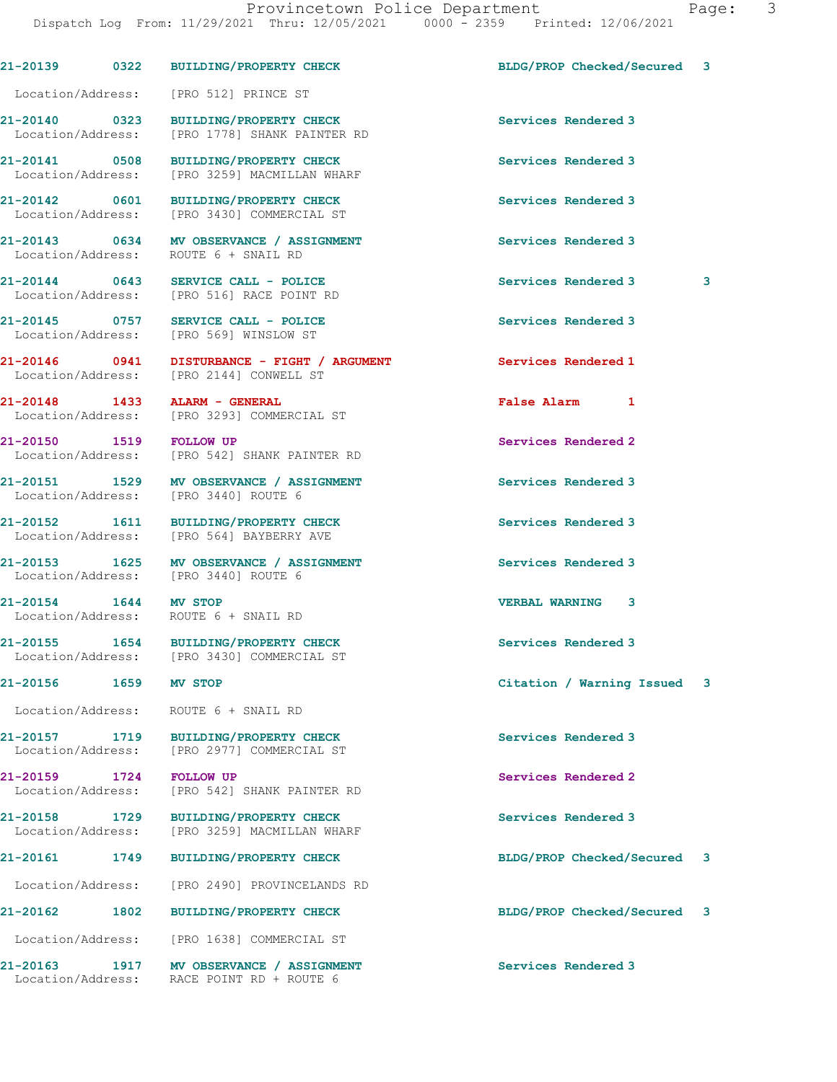21-20139 0322 BUILDING/PROPERTY CHECK BLDG/PROP Checked/Secured 3

 Location/Address: [PRO 512] PRINCE ST 21-20140 0323 BUILDING/PROPERTY CHECK Services Rendered 3 Location/Address: [PRO 1778] SHANK PAINTER RD 21-20141 0508 BUILDING/PROPERTY CHECK Services Rendered 3 Location/Address: [PRO 3259] MACMILLAN WHARF 21-20142 0601 BUILDING/PROPERTY CHECK Services Rendered 3 Location/Address: [PRO 3430] COMMERCIAL ST 21-20143 0634 MV OBSERVANCE / ASSIGNMENT Services Rendered 3 Location/Address: ROUTE 6 + SNAIL RD 21-20144 0643 SERVICE CALL - POLICE 3 Services Rendered 3 3 Location/Address: [PRO 516] RACE POINT RD 21-20145 0757 SERVICE CALL - POLICE Services Rendered 3 Location/Address: [PRO 569] WINSLOW ST 21-20146 0941 DISTURBANCE - FIGHT / ARGUMENT Services Rendered 1 Location/Address: [PRO 2144] CONWELL ST 21-20148 1433 ALARM - GENERAL False Alarm 1 Location/Address: [PRO 3293] COMMERCIAL ST 21-20150 1519 FOLLOW UP Services Rendered 2 Location/Address: [PRO 542] SHANK PAINTER RD 21-20151 1529 MV OBSERVANCE / ASSIGNMENT Services Rendered 3 Location/Address: [PRO 3440] ROUTE 6 21-20152 1611 BUILDING/PROPERTY CHECK Services Rendered 3 Location/Address: [PRO 564] BAYBERRY AVE 21-20153 1625 MV OBSERVANCE / ASSIGNMENT Services Rendered 3 Location/Address: [PRO 3440] ROUTE 6 21-20154 1644 MV STOP VERBAL WARNING 3 Location/Address: ROUTE 6 + SNAIL RD 21-20155 1654 BUILDING/PROPERTY CHECK Services Rendered 3 Location/Address: [PRO 3430] COMMERCIAL ST 21-20156 1659 MV STOP Citation / Warning Issued 3 Location/Address: ROUTE 6 + SNAIL RD 21-20157 1719 BUILDING/PROPERTY CHECK Services Rendered 3<br>
Location/Address: [PRO 2977] COMMERCIAL ST [PRO 2977] COMMERCIAL ST 21-20159 1724 FOLLOW UP Services Rendered 2 Location/Address: [PRO 542] SHANK PAINTER RD 21-20158 1729 BUILDING/PROPERTY CHECK Services Rendered 3 Location/Address: [PRO 3259] MACMILLAN WHARF 21-20161 1749 BUILDING/PROPERTY CHECK BLDG/PROP Checked/Secured 3 Location/Address: [PRO 2490] PROVINCELANDS RD 21-20162 1802 BUILDING/PROPERTY CHECK BLDG/PROP Checked/Secured 3

21-20163 1917 MV OBSERVANCE / ASSIGNMENT Services Rendered 3

Location/Address: [PRO 1638] COMMERCIAL ST

Location/Address: RACE POINT RD + ROUTE 6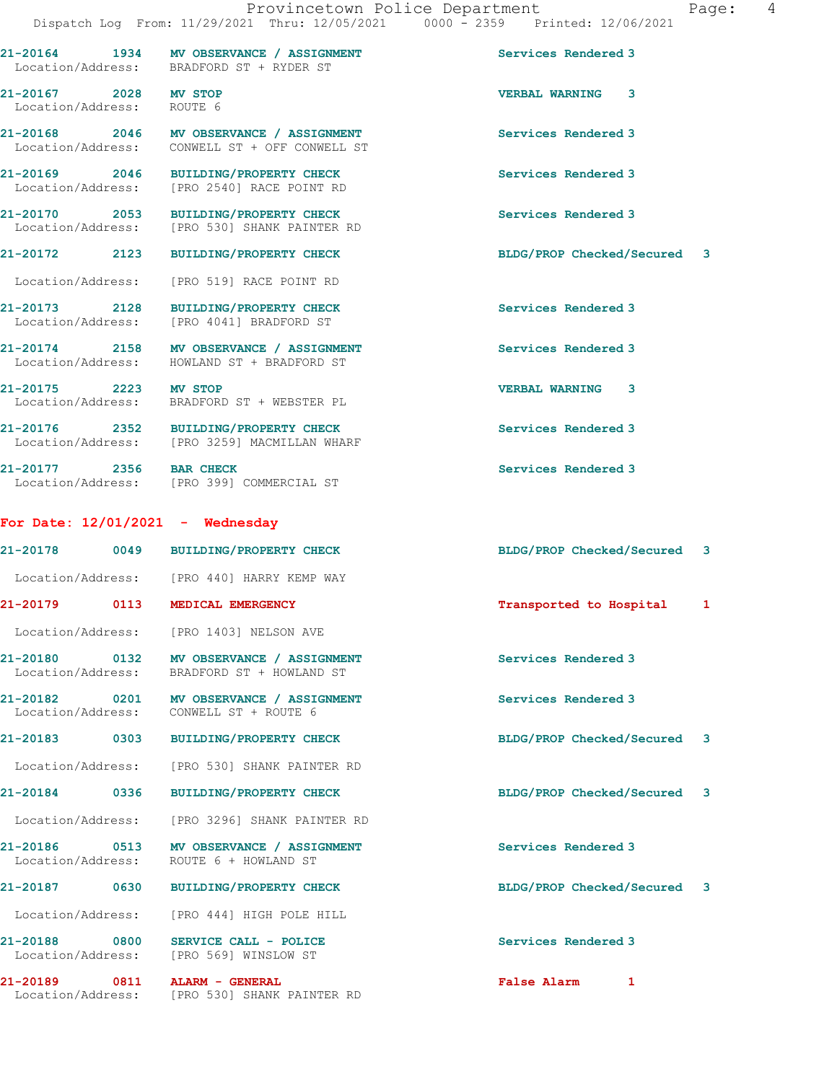| $21 - 20164$      | 1934 | MV OBSERVANCE / ASSIGNMENT | Services Rendered 3 |
|-------------------|------|----------------------------|---------------------|
| Location/Address: |      | BRADFORD ST + RYDER ST     |                     |

21-20167 2028 MV STOP VERBAL WARNING 3 Location/Address: ROUTE 6

21-20168 2046 MV OBSERVANCE / ASSIGNMENT Services Rendered 3 Location/Address: CONWELL ST + OFF CONWELL ST

21-20169 2046 BUILDING/PROPERTY CHECK Services Rendered 3<br>
Location/Address: [PRO 2540] RACE POINT RD

21-20170 2053 BUILDING/PROPERTY CHECK Services Rendered 3 Location/Address: [PRO 530] SHANK PAINTER RD

21-20172 2123 BUILDING/PROPERTY CHECK BLDG/PROP Checked/Secured 3

Location/Address: [PRO 519] RACE POINT RD

[PRO 2540] RACE POINT RD

21-20173 2128 BUILDING/PROPERTY CHECK Services Rendered 3 Location/Address: [PRO 4041] BRADFORD ST

21-20174 2158 MV OBSERVANCE / ASSIGNMENT Services Rendered 3 Location/Address: HOWLAND ST + BRADFORD ST

21-20175 2223 MV STOP VERBAL WARNING 3

Location/Address: BRADFORD ST + WEBSTER PL

21-20176 2352 BUILDING/PROPERTY CHECK Services Rendered 3 Location/Address: [PRO 3259] MACMILLAN WHARF

21-20177 2356 BAR CHECK Services Rendered 3 Location/Address: [PRO 399] COMMERCIAL ST

## For Date: 12/01/2021 - Wednesday

21-20178 0049 BUILDING/PROPERTY CHECK BLDG/PROP Checked/Secured 3 Location/Address: [PRO 440] HARRY KEMP WAY

21-20179 0113 MEDICAL EMERGENCY Transported to Hospital 1

Location/Address: [PRO 1403] NELSON AVE

21-20180 0132 MV OBSERVANCE / ASSIGNMENT Services Rendered 3 Location/Address: BRADFORD ST + HOWLAND ST

21-20182 0201 MV OBSERVANCE / ASSIGNMENT Services Rendered 3 Location/Address: CONWELL ST + ROUTE 6

Location/Address: [PRO 530] SHANK PAINTER RD

Location/Address: [PRO 3296] SHANK PAINTER RD

21-20186 0513 MV OBSERVANCE / ASSIGNMENT Services Rendered 3 Location/Address: ROUTE 6 + HOWLAND ST

21-20187 0630 BUILDING/PROPERTY CHECK BLDG/PROP Checked/Secured 3

Location/Address: [PRO 444] HIGH POLE HILL

21-20188 0800 SERVICE CALL - POLICE 3 Services Rendered 3 Location/Address: [PRO 569] WINSLOW ST

21-20189 0811 ALARM - GENERAL False Alarm 1

Location/Address: [PRO 530] SHANK PAINTER RD

21-20183 0303 BUILDING/PROPERTY CHECK BLDG/PROP Checked/Secured 3 21-20184 0336 BUILDING/PROPERTY CHECK BLDG/PROP Checked/Secured 3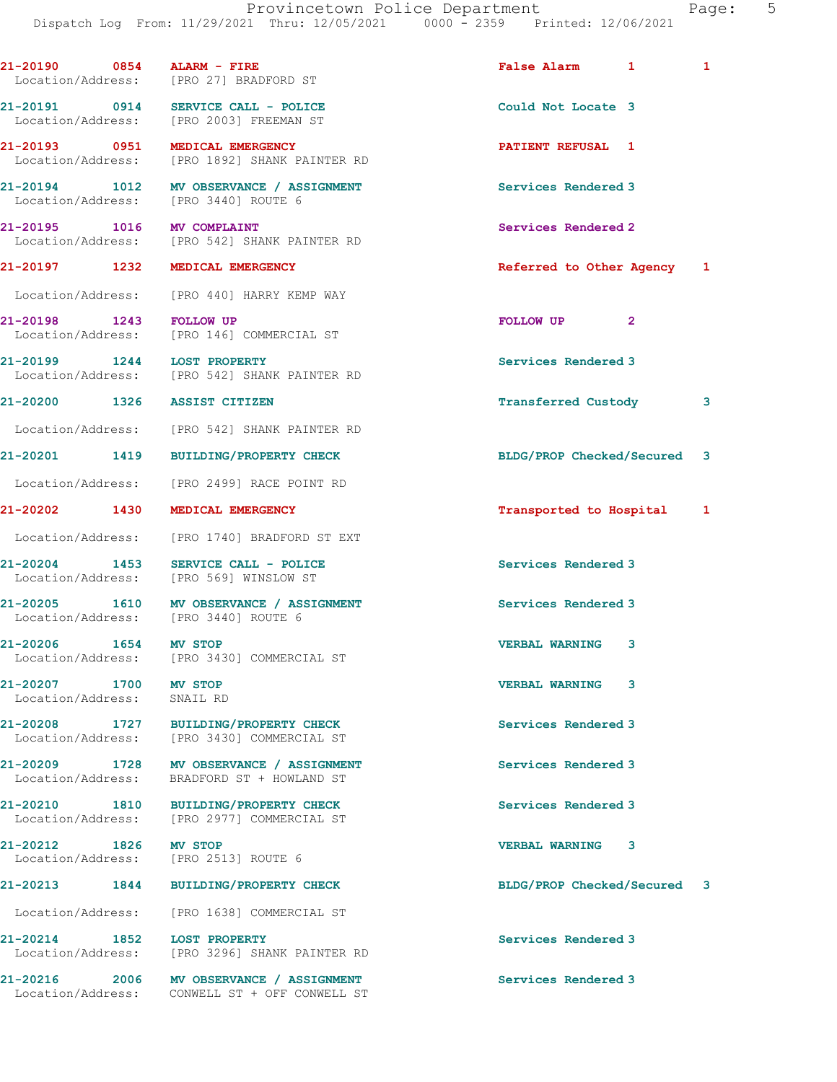|                                             | 21-20190 0854 ALARM - FIRE<br>Location/Address: [PRO 27] BRADFORD ST                      | False Alarm 1               | 1 |
|---------------------------------------------|-------------------------------------------------------------------------------------------|-----------------------------|---|
|                                             | 21-20191 0914 SERVICE CALL - POLICE<br>Location/Address: [PRO 2003] FREEMAN ST            | Could Not Locate 3          |   |
|                                             | 21-20193 0951 MEDICAL EMERGENCY<br>Location/Address: [PRO 1892] SHANK PAINTER RD          | PATIENT REFUSAL 1           |   |
|                                             | 21-20194 1012 MV OBSERVANCE / ASSIGNMENT<br>Location/Address: [PRO 3440] ROUTE 6          | Services Rendered 3         |   |
| 21-20195 1016 MV COMPLAINT                  | Location/Address: [PRO 542] SHANK PAINTER RD                                              | Services Rendered 2         |   |
|                                             | 21-20197 1232 MEDICAL EMERGENCY                                                           | Referred to Other Agency 1  |   |
|                                             | Location/Address: [PRO 440] HARRY KEMP WAY                                                |                             |   |
| 21-20198 1243 FOLLOW UP                     | Location/Address: [PRO 146] COMMERCIAL ST                                                 | FOLLOW UP <sub>2</sub>      |   |
|                                             | 21-20199 1244 LOST PROPERTY<br>Location/Address: [PRO 542] SHANK PAINTER RD               | Services Rendered 3         |   |
|                                             | 21-20200 1326 ASSIST CITIZEN                                                              | Transferred Custody         | 3 |
|                                             | Location/Address: [PRO 542] SHANK PAINTER RD                                              |                             |   |
|                                             | 21-20201 1419 BUILDING/PROPERTY CHECK                                                     | BLDG/PROP Checked/Secured 3 |   |
|                                             | Location/Address: [PRO 2499] RACE POINT RD                                                |                             |   |
|                                             | 21-20202 1430 MEDICAL EMERGENCY                                                           | Transported to Hospital     | 1 |
|                                             | Location/Address: [PRO 1740] BRADFORD ST EXT                                              |                             |   |
|                                             | $21-20204$ 1453 SERVICE CALL - POLICE<br>Location/Address: [PRO 569] WINSLOW ST           | Services Rendered 3         |   |
|                                             | 21-20205 1610 MV OBSERVANCE / ASSIGNMENT<br>Location/Address: [PRO 3440] ROUTE 6          | Services Rendered 3         |   |
| 21-20206 1654 MV STOP                       | Location/Address: [PRO 3430] COMMERCIAL ST                                                | <b>VERBAL WARNING</b><br>3  |   |
| 21-20207 1700<br>Location/Address: SNAIL RD | <b>MV STOP</b>                                                                            | <b>VERBAL WARNING</b><br>3  |   |
|                                             | 21-20208 1727 BUILDING/PROPERTY CHECK<br>Location/Address: [PRO 3430] COMMERCIAL ST       | Services Rendered 3         |   |
|                                             | 21-20209 1728 MV OBSERVANCE / ASSIGNMENT<br>Location/Address: BRADFORD ST + HOWLAND ST    | Services Rendered 3         |   |
|                                             | 21-20210 1810 BUILDING/PROPERTY CHECK<br>Location/Address: [PRO 2977] COMMERCIAL ST       | Services Rendered 3         |   |
| 21-20212 1826 MV STOP                       | Location/Address: [PRO 2513] ROUTE 6                                                      | <b>VERBAL WARNING</b><br>3  |   |
|                                             | 21-20213 1844 BUILDING/PROPERTY CHECK                                                     | BLDG/PROP Checked/Secured 3 |   |
|                                             | Location/Address: [PRO 1638] COMMERCIAL ST                                                |                             |   |
|                                             | 21-20214 1852 LOST PROPERTY<br>Location/Address: [PRO 3296] SHANK PAINTER RD              | Services Rendered 3         |   |
|                                             | 21-20216 2006 MV OBSERVANCE / ASSIGNMENT<br>Location/Address: CONWELL ST + OFF CONWELL ST | Services Rendered 3         |   |
|                                             |                                                                                           |                             |   |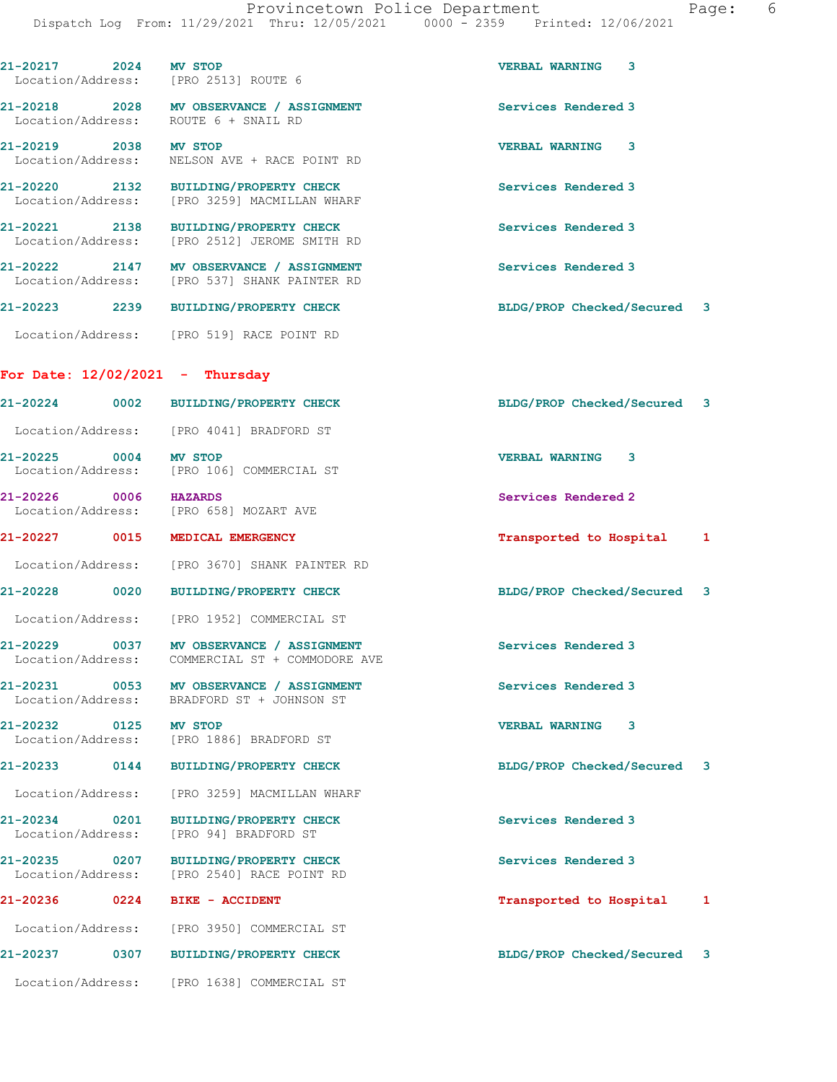| 21-20217 2024                      |      | MV STOP<br>Location/Address: [PRO 2513] ROUTE 6                                          | 3<br><b>VERBAL WARNING</b>  |                         |
|------------------------------------|------|------------------------------------------------------------------------------------------|-----------------------------|-------------------------|
|                                    |      | 21-20218 2028 MV OBSERVANCE / ASSIGNMENT<br>Location/Address: ROUTE 6 + SNAIL RD         | Services Rendered 3         |                         |
| 21-20219 2038 MV STOP              |      | Location/Address: NELSON AVE + RACE POINT RD                                             | VERBAL WARNING 3            |                         |
|                                    |      | 21-20220 2132 BUILDING/PROPERTY CHECK<br>Location/Address: [PRO 3259] MACMILLAN WHARF    | Services Rendered 3         |                         |
|                                    |      | 21-20221 2138 BUILDING/PROPERTY CHECK<br>Location/Address: [PRO 2512] JEROME SMITH RD    | Services Rendered 3         |                         |
|                                    |      | 21-20222 2147 MV OBSERVANCE / ASSIGNMENT<br>Location/Address: [PRO 537] SHANK PAINTER RD | Services Rendered 3         |                         |
| 21-20223                           |      | 2239 BUILDING/PROPERTY CHECK                                                             | BLDG/PROP Checked/Secured 3 |                         |
|                                    |      | Location/Address: [PRO 519] RACE POINT RD                                                |                             |                         |
|                                    |      | For Date: $12/02/2021$ - Thursday                                                        |                             |                         |
| 21-20224                           |      | 0002 BUILDING/PROPERTY CHECK                                                             | BLDG/PROP Checked/Secured 3 |                         |
|                                    |      | Location/Address: [PRO 4041] BRADFORD ST                                                 |                             |                         |
| 21-20225 0004 MV STOP              |      | Location/Address: [PRO 106] COMMERCIAL ST                                                | <b>VERBAL WARNING 3</b>     |                         |
| 21-20226 0006 HAZARDS              |      | Location/Address: [PRO 658] MOZART AVE                                                   | Services Rendered 2         |                         |
| 21-20227                           |      | 0015 MEDICAL EMERGENCY                                                                   | Transported to Hospital     | 1                       |
|                                    |      | Location/Address: [PRO 3670] SHANK PAINTER RD                                            |                             |                         |
| 21-20228                           |      | 0020 BUILDING/PROPERTY CHECK                                                             | BLDG/PROP Checked/Secured 3 |                         |
|                                    |      | Location/Address: [PRO 1952] COMMERCIAL ST                                               |                             |                         |
| 21-20229                           | 0037 | MV OBSERVANCE / ASSIGNMENT<br>Location/Address: COMMERCIAL ST + COMMODORE AVE            | Services Rendered 3         |                         |
| 21-20231                           |      | 0053 MV OBSERVANCE / ASSIGNMENT<br>Location/Address: BRADFORD ST + JOHNSON ST            | Services Rendered 3         |                         |
| 21-20232                           |      | 0125 MV STOP<br>Location/Address: [PRO 1886] BRADFORD ST                                 | <b>VERBAL WARNING</b><br>3  |                         |
| 21-20233 0144                      |      | <b>BUILDING/PROPERTY CHECK</b>                                                           | BLDG/PROP Checked/Secured   | $\overline{\mathbf{3}}$ |
| Location/Address:                  |      | [PRO 3259] MACMILLAN WHARF                                                               |                             |                         |
| 21-20234<br>Location/Address:      | 0201 | <b>BUILDING/PROPERTY CHECK</b><br>[PRO 94] BRADFORD ST                                   | Services Rendered 3         |                         |
| 21-20235 0207<br>Location/Address: |      | <b>BUILDING/PROPERTY CHECK</b><br>[PRO 2540] RACE POINT RD                               | Services Rendered 3         |                         |
| 21-20236                           | 0224 | <b>BIKE - ACCIDENT</b>                                                                   | Transported to Hospital     | 1                       |
|                                    |      | Location/Address: [PRO 3950] COMMERCIAL ST                                               |                             |                         |
|                                    |      | <b>BUILDING/PROPERTY CHECK</b>                                                           | BLDG/PROP Checked/Secured   | 3                       |
| 21-20237                           | 0307 |                                                                                          |                             |                         |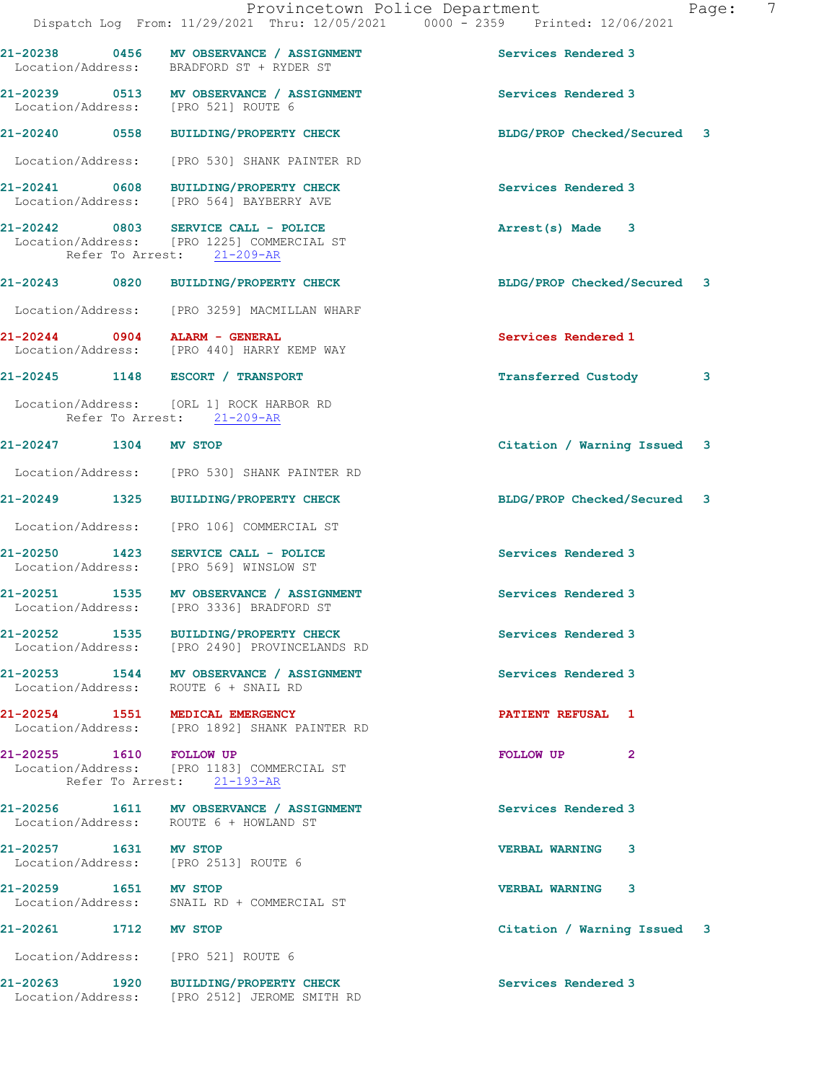|                               | Provincetown Police Department<br>Dispatch Log From: 11/29/2021 Thru: 12/05/2021 0000 - 2359 Printed: 12/06/2021 |                             | 7<br>Page: |
|-------------------------------|------------------------------------------------------------------------------------------------------------------|-----------------------------|------------|
|                               | 21-20238 0456 MV OBSERVANCE / ASSIGNMENT<br>Location/Address: BRADFORD ST + RYDER ST                             | Services Rendered 3         |            |
|                               | 21-20239 0513 MV OBSERVANCE / ASSIGNMENT<br>Location/Address: [PRO 521] ROUTE 6                                  | Services Rendered 3         |            |
|                               | 21-20240 0558 BUILDING/PROPERTY CHECK                                                                            | BLDG/PROP Checked/Secured 3 |            |
|                               | Location/Address: [PRO 530] SHANK PAINTER RD                                                                     |                             |            |
|                               | 21-20241 0608 BUILDING/PROPERTY CHECK<br>Location/Address: [PRO 564] BAYBERRY AVE                                | Services Rendered 3         |            |
|                               | 21-20242 0803 SERVICE CALL - POLICE<br>Location/Address: [PRO 1225] COMMERCIAL ST<br>Refer To Arrest: 21-209-AR  | Arrest(s) Made 3            |            |
|                               | 21-20243 0820 BUILDING/PROPERTY CHECK                                                                            | BLDG/PROP Checked/Secured 3 |            |
|                               | Location/Address: [PRO 3259] MACMILLAN WHARF                                                                     |                             |            |
| 21-20244 0904 ALARM - GENERAL | Location/Address: [PRO 440] HARRY KEMP WAY                                                                       | Services Rendered 1         |            |
|                               | 21-20245 1148 ESCORT / TRANSPORT                                                                                 | Transferred Custody         | 3          |
|                               | Location/Address: [ORL 1] ROCK HARBOR RD<br>Refer To Arrest: 21-209-AR                                           |                             |            |
| 21-20247 1304 MV STOP         |                                                                                                                  | Citation / Warning Issued 3 |            |
|                               | Location/Address: [PRO 530] SHANK PAINTER RD                                                                     |                             |            |
|                               | 21-20249 1325 BUILDING/PROPERTY CHECK                                                                            | BLDG/PROP Checked/Secured 3 |            |
|                               | Location/Address: [PRO 106] COMMERCIAL ST                                                                        |                             |            |
|                               | 21-20250 1423 SERVICE CALL - POLICE<br>Location/Address: [PRO 569] WINSLOW ST                                    | Services Rendered 3         |            |
|                               | 21-20251 1535 MV OBSERVANCE / ASSIGNMENT<br>Location/Address: [PRO 3336] BRADFORD ST                             | Services Rendered 3         |            |
|                               | 21-20252 1535 BUILDING/PROPERTY CHECK<br>Location/Address: [PRO 2490] PROVINCELANDS RD                           | Services Rendered 3         |            |
|                               | 21-20253 1544 MV OBSERVANCE / ASSIGNMENT<br>Location/Address: ROUTE 6 + SNAIL RD                                 | Services Rendered 3         |            |
|                               | 21-20254 1551 MEDICAL EMERGENCY<br>Location/Address: [PRO 1892] SHANK PAINTER RD                                 | <b>PATIENT REFUSAL 1</b>    |            |
| 21-20255 1610 FOLLOW UP       | Location/Address: [PRO 1183] COMMERCIAL ST<br>Refer To Arrest: 21-193-AR                                         | FOLLOW UP<br>$\mathbf{2}$   |            |
|                               | 21-20256 1611 MV OBSERVANCE / ASSIGNMENT<br>Location/Address: ROUTE 6 + HOWLAND ST                               | Services Rendered 3         |            |
| 21-20257 1631 MV STOP         | Location/Address: [PRO 2513] ROUTE 6                                                                             | <b>VERBAL WARNING 3</b>     |            |
| 21-20259 1651 MV STOP         | Location/Address: SNAIL RD + COMMERCIAL ST                                                                       | VERBAL WARNING 3            |            |
| 21-20261 1712 MV STOP         |                                                                                                                  | Citation / Warning Issued 3 |            |
|                               | Location/Address: [PRO 521] ROUTE 6                                                                              |                             |            |
|                               | 21-20263 1920 BUILDING/PROPERTY CHECK<br>Location/Address: [PRO 2512] JEROME SMITH RD                            | Services Rendered 3         |            |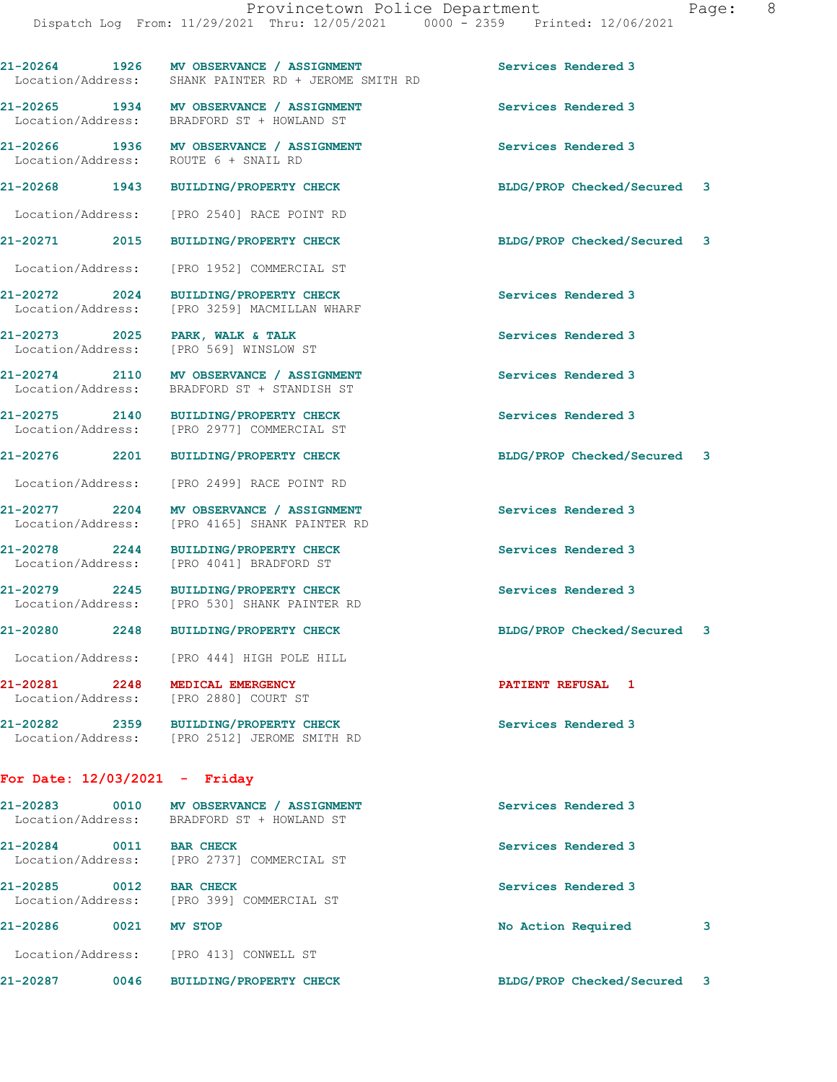21-20264 1926 MV OBSERVANCE / ASSIGNMENT Services Rendered 3

Location/Address: [PRO 2880] COURT ST

Location/Address: [PRO 2512] JEROME SMITH RD

## For Date: 12/03/2021 - Friday

| $21 - 20283$<br>Location/Address: | 0010 | MV OBSERVANCE / ASSIGNMENT<br>BRADFORD ST + HOWLAND ST | Services Rendered 3       |                         |
|-----------------------------------|------|--------------------------------------------------------|---------------------------|-------------------------|
| 21-20284<br>Location/Address:     | 0011 | <b>BAR CHECK</b><br>[PRO 2737] COMMERCIAL ST           | Services Rendered 3       |                         |
| 21-20285<br>Location/Address:     | 0012 | <b>BAR CHECK</b><br>TPRO 3991 COMMERCIAL ST            | Services Rendered 3       |                         |
| 21-20286                          | 0021 | <b>MV STOP</b>                                         | No Action Required        | 3                       |
| Location/Address:                 |      | FPRO 4131 CONWELL ST                                   |                           |                         |
| 21-20287                          | 0046 | <b>BUILDING/PROPERTY CHECK</b>                         | BLDG/PROP Checked/Secured | $\overline{\mathbf{3}}$ |

Location/Address: SHANK PAINTER RD + JEROME SMITH RD

21-20265 1934 MV OBSERVANCE / ASSIGNMENT Services Rendered 3 Location/Address: BRADFORD ST + HOWLAND ST

21-20266 1936 MV OBSERVANCE / ASSIGNMENT Services Rendered 3 Location/Address: ROUTE 6 + SNAIL RD

21-20268 1943 BUILDING/PROPERTY CHECK BLDG/PROP Checked/Secured 3

Location/Address: [PRO 2540] RACE POINT RD

21-20271 2015 BUILDING/PROPERTY CHECK BLDG/PROP Checked/Secured 3

Location/Address: [PRO 1952] COMMERCIAL ST

21-20272 2024 BUILDING/PROPERTY CHECK Services Rendered 3 Location/Address: [PRO 3259] MACMILLAN WHARF

21-20273 2025 PARK, WALK & TALK 2009 2009 Services Rendered 3 Location/Address: [PRO 569] WINSLOW ST

21-20274 2110 MV OBSERVANCE / ASSIGNMENT Services Rendered 3<br>
Location/Address: BRADFORD ST + STANDISH ST BRADFORD ST + STANDISH ST

21-20276 2201 BUILDING/PROPERTY CHECK BLDG/PROP Checked/Secured 3

Location/Address: [PRO 2499] RACE POINT RD

Location/Address: [PRO 4165] SHANK PAINTER RD

21-20278 2244 BUILDING/PROPERTY CHECK Services Rendered 3 Location/Address: [PRO 4041] BRADFORD ST

21-20279 2245 BUILDING/PROPERTY CHECK Services Rendered 3

21-20280 2248 BUILDING/PROPERTY CHECK BLDG/PROP Checked/Secured 3

Location/Address: [PRO 444] HIGH POLE HILL

21-20281 2248 MEDICAL EMERGENCY PATIENT REFUSAL 1

21-20282 2359 BUILDING/PROPERTY CHECK Services Rendered 3

21-20275 2140 BUILDING/PROPERTY CHECK Services Rendered 3

Location/Address: [PRO 2977] COMMERCIAL ST

21-20277 2204 MV OBSERVANCE / ASSIGNMENT Services Rendered 3

[PRO 530] SHANK PAINTER RD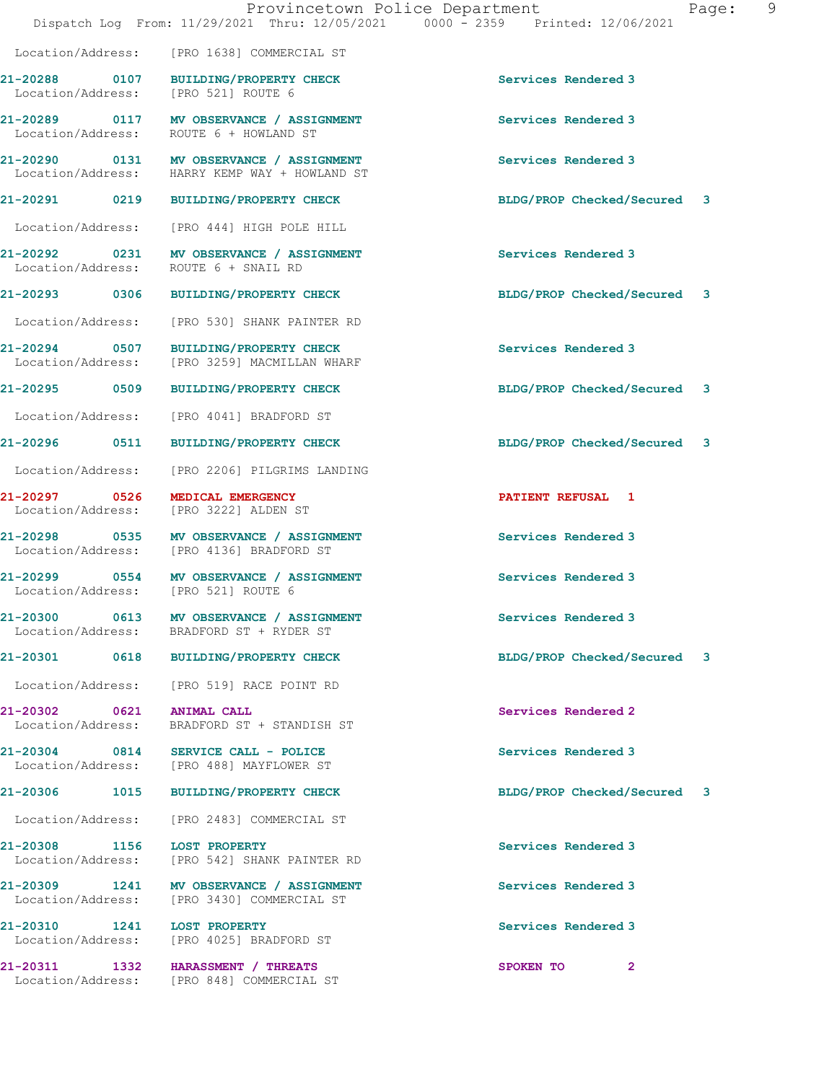|                                                | Provincetown Police Department<br>Dispatch Log From: 11/29/2021 Thru: 12/05/2021 0000 - 2359 Printed: 12/06/2021 | - 9<br>Page:                |
|------------------------------------------------|------------------------------------------------------------------------------------------------------------------|-----------------------------|
|                                                | Location/Address: [PRO 1638] COMMERCIAL ST                                                                       |                             |
| Location/Address: [PRO 521] ROUTE 6            | 21-20288 0107 BUILDING/PROPERTY CHECK                                                                            | Services Rendered 3         |
|                                                | 21-20289 0117 MV OBSERVANCE / ASSIGNMENT<br>Location/Address: ROUTE 6 + HOWLAND ST                               | Services Rendered 3         |
|                                                | 21-20290 0131 MV OBSERVANCE / ASSIGNMENT<br>Location/Address: HARRY KEMP WAY + HOWLAND ST                        | Services Rendered 3         |
|                                                | 21-20291 0219 BUILDING/PROPERTY CHECK                                                                            | BLDG/PROP Checked/Secured 3 |
|                                                | Location/Address: [PRO 444] HIGH POLE HILL                                                                       |                             |
| Location/Address:                              | 21-20292 0231 MV OBSERVANCE / ASSIGNMENT<br>ROUTE 6 + SNAIL RD                                                   | Services Rendered 3         |
|                                                | 21-20293 0306 BUILDING/PROPERTY CHECK                                                                            | BLDG/PROP Checked/Secured 3 |
|                                                | Location/Address: [PRO 530] SHANK PAINTER RD                                                                     |                             |
|                                                | 21-20294 0507 BUILDING/PROPERTY CHECK<br>Location/Address: [PRO 3259] MACMILLAN WHARF                            | Services Rendered 3         |
|                                                | 21-20295 0509 BUILDING/PROPERTY CHECK                                                                            | BLDG/PROP Checked/Secured 3 |
|                                                | Location/Address: [PRO 4041] BRADFORD ST                                                                         |                             |
|                                                | 21-20296 0511 BUILDING/PROPERTY CHECK                                                                            | BLDG/PROP Checked/Secured 3 |
|                                                | Location/Address: [PRO 2206] PILGRIMS LANDING                                                                    |                             |
| 21-20297 0526 MEDICAL EMERGENCY                | Location/Address: [PRO 3222] ALDEN ST                                                                            | <b>PATIENT REFUSAL 1</b>    |
|                                                | 21-20298 0535 MV OBSERVANCE / ASSIGNMENT<br>Location/Address: [PRO 4136] BRADFORD ST                             | Services Rendered 3         |
| Location/Address: [PRO 521] ROUTE 6            | 21-20299 0554 MV OBSERVANCE / ASSIGNMENT                                                                         | Services Rendered 3         |
| Location/Address:                              | 21-20300 0613 MV OBSERVANCE / ASSIGNMENT<br>BRADFORD ST + RYDER ST                                               | Services Rendered 3         |
|                                                | 21-20301 0618 BUILDING/PROPERTY CHECK                                                                            | BLDG/PROP Checked/Secured 3 |
|                                                | Location/Address: [PRO 519] RACE POINT RD                                                                        |                             |
| 21-20302 0621 ANIMAL CALL<br>Location/Address: | BRADFORD ST + STANDISH ST                                                                                        | Services Rendered 2         |
|                                                | 21-20304 0814 SERVICE CALL - POLICE<br>Location/Address: [PRO 488] MAYFLOWER ST                                  | Services Rendered 3         |
|                                                | 21-20306 1015 BUILDING/PROPERTY CHECK                                                                            | BLDG/PROP Checked/Secured 3 |
|                                                | Location/Address: [PRO 2483] COMMERCIAL ST                                                                       |                             |
| 21-20308 1156 LOST PROPERTY                    | Location/Address: [PRO 542] SHANK PAINTER RD                                                                     | Services Rendered 3         |
|                                                | 21-20309 1241 MV OBSERVANCE / ASSIGNMENT<br>Location/Address: [PRO 3430] COMMERCIAL ST                           | Services Rendered 3         |
| 21-20310 1241 LOST PROPERTY                    | Location/Address: [PRO 4025] BRADFORD ST                                                                         | Services Rendered 3         |
|                                                | 21-20311 1332 HARASSMENT / THREATS<br>Location/Address: [PRO 848] COMMERCIAL ST                                  | SPOKEN TO<br>$\overline{2}$ |
|                                                |                                                                                                                  |                             |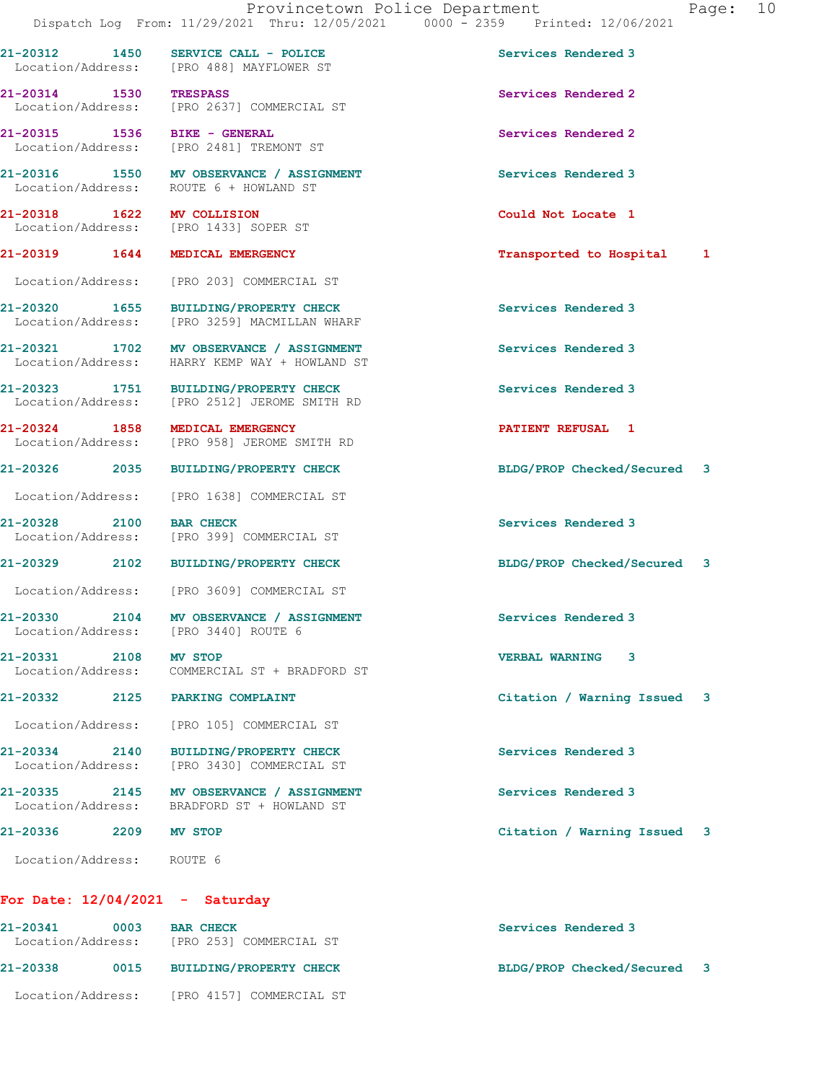21-20312 1450 SERVICE CALL - POLICE Services Rendered 3 Location/Address: [PRO 488] MAYFLOWER ST

21-20314 1530 TRESPASS Services Rendered 2

Location/Address: [PRO 2481] TREMONT ST

Location/Address: ROUTE 6 + HOWLAND ST

Location/Address: [PRO 1433] SOPER ST

Location/Address: [PRO 203] COMMERCIAL ST

21-20320 1655 BUILDING/PROPERTY CHECK Services Rendered 3 Location/Address: [PRO 3259] MACMILLAN WHARF

Location/Address: HARRY KEMP WAY + HOWLAND ST

21-20323 1751 BUILDING/PROPERTY CHECK Services Rendered 3 Location/Address: [PRO 2512] JEROME SMITH RD

21-20324 1858 MEDICAL EMERGENCY **120 CONTRACT SERVICE ACCESS** 1 Location/Address: [PRO 958] JEROME SMITH RD

Location/Address: [PRO 1638] COMMERCIAL ST

21-20328 2100 BAR CHECK Services Rendered 3 Location/Address: [PRO 399] COMMERCIAL ST

Location/Address: [PRO 3609] COMMERCIAL ST

21-20330 2104 MV OBSERVANCE / ASSIGNMENT Services Rendered 3 Location/Address: [PRO 3440] ROUTE 6

21-20331 2108 MV STOP VERBAL WARNING 3 Location/Address: COMMERCIAL ST + BRADFORD ST

21-20334 2140 BUILDING/PROPERTY CHECK Services Rendered 3

21-20335 2145 MV OBSERVANCE / ASSIGNMENT Services Rendered 3 Location/Address: BRADFORD ST + HOWLAND ST

 Location/Address: [PRO 105] COMMERCIAL ST Location/Address: [PRO 3430] COMMERCIAL ST

Location/Address: ROUTE 6

For Date: 12/04/2021 - Saturday

| 21-20341<br>Location/Address: | 0003 | <b>BAR CHECK</b><br>[PRO 253] COMMERCIAL ST | Services Rendered 3         |  |
|-------------------------------|------|---------------------------------------------|-----------------------------|--|
| 21-20338                      | 0015 | <b>BUILDING/PROPERTY CHECK</b>              | BLDG/PROP Checked/Secured 3 |  |
| Location/Address:             |      | FPRO 41571 COMMERCIAL ST                    |                             |  |

 Location/Address: [PRO 2637] COMMERCIAL ST 21-20315 1536 BIKE - GENERAL Services Rendered 2

21-20316 1550 MV OBSERVANCE / ASSIGNMENT Services Rendered 3

21-20318 1622 MV COLLISION Could Not Locate 1

21-20319 1644 MEDICAL EMERGENCY Transported to Hospital 1

21-20321 1702 MV OBSERVANCE / ASSIGNMENT Services Rendered 3

21-20326 2035 BUILDING/PROPERTY CHECK BLDG/PROP Checked/Secured 3

21-20329 2102 BUILDING/PROPERTY CHECK BLDG/PROP Checked/Secured 3

21-20332 2125 PARKING COMPLAINT Citation / Warning Issued 3

21-20336 2209 MV STOP Citation / Warning Issued 3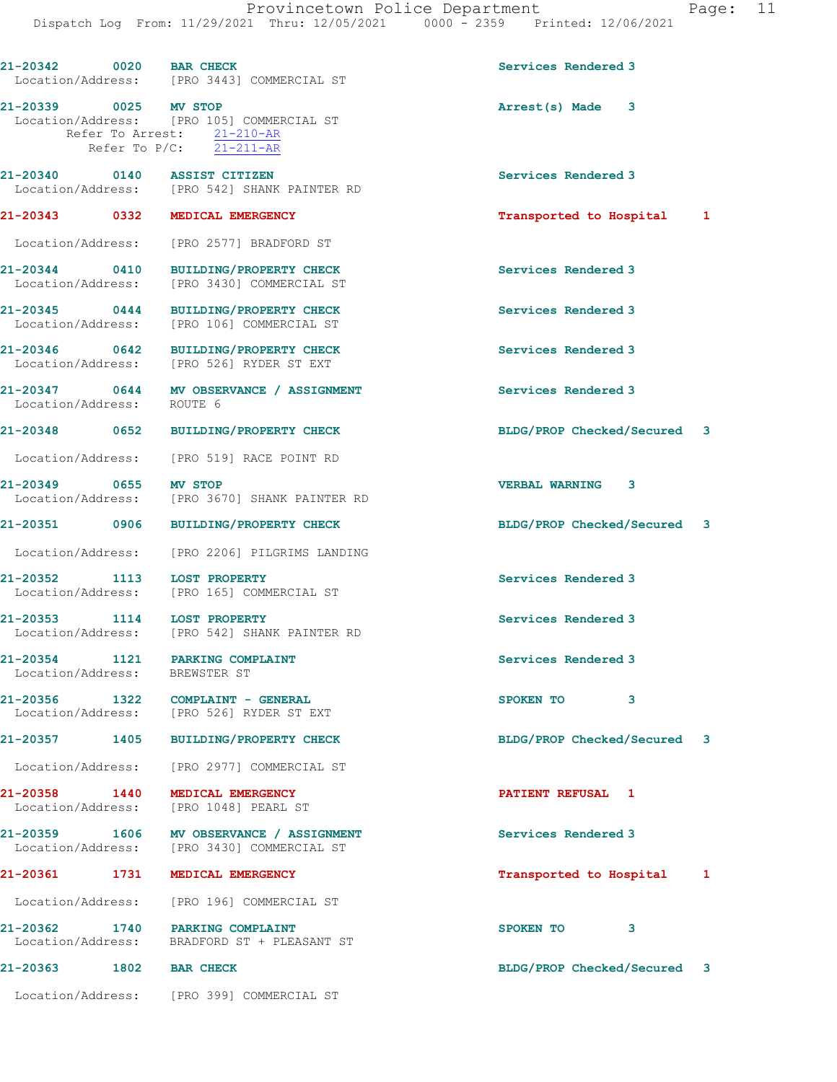21-20342 0020 BAR CHECK Services Rendered 3 Location/Address: [PRO 3443] COMMERCIAL ST 21-20339 0025 MV STOP Arrest(s) Made 3 Location/Address: [PRO 105] COMMERCIAL ST Refer To Arrest: 21-210-AR Refer To P/C: 21-211-AR 21-20340 0140 ASSIST CITIZEN Services Rendered 3 Location/Address: [PRO 542] SHANK PAINTER RD 21-20343 0332 MEDICAL EMERGENCY Transported to Hospital 1 Location/Address: [PRO 2577] BRADFORD ST 21-20344 0410 BUILDING/PROPERTY CHECK Services Rendered 3 Location/Address: [PRO 3430] COMMERCIAL ST 21-20345 0444 BUILDING/PROPERTY CHECK Services Rendered 3 Location/Address: [PRO 106] COMMERCIAL ST 21-20346 0642 BUILDING/PROPERTY CHECK Services Rendered 3 Location/Address: [PRO 526] RYDER ST EXT 21-20347 0644 MV OBSERVANCE / ASSIGNMENT Services Rendered 3 Location/Address: ROUTE 6 21-20348 0652 BUILDING/PROPERTY CHECK BLDG/PROP Checked/Secured 3 Location/Address: [PRO 519] RACE POINT RD 21-20349 0655 MV STOP VERBAL WARNING 3 Location/Address: [PRO 3670] SHANK PAINTER RD 21-20351 0906 BUILDING/PROPERTY CHECK BLDG/PROP Checked/Secured 3 Location/Address: [PRO 2206] PILGRIMS LANDING 21-20352 1113 LOST PROPERTY Services Rendered 3 Location/Address: [PRO 165] COMMERCIAL ST 21-20353 1114 LOST PROPERTY Services Rendered 3 Location/Address: [PRO 542] SHANK PAINTER RD 21-20354 1121 PARKING COMPLAINT Services Rendered 3 Location/Address: BREWSTER ST 21-20356 1322 COMPLAINT - GENERAL SPOKEN TO 3 Location/Address: [PRO 526] RYDER ST EXT 21-20357 1405 BUILDING/PROPERTY CHECK BLDG/PROP Checked/Secured 3 Location/Address: [PRO 2977] COMMERCIAL ST 21-20358 1440 MEDICAL EMERGENCY **1200 PATIENT REFUSAL** 1 Location/Address: [PRO 1048] PEARL ST 21-20359 1606 MV OBSERVANCE / ASSIGNMENT Services Rendered 3 Location/Address: [PRO 3430] COMMERCIAL ST 21-20361 1731 MEDICAL EMERGENCY Transported to Hospital 1 Location/Address: [PRO 196] COMMERCIAL ST 21-20362 1740 PARKING COMPLAINT<br>
Location/Address: BRADFORD ST + PLEASANT ST BRADFORD ST + PLEASANT ST 21-20363 1802 BAR CHECK BLDG/PROP Checked/Secured 3 Location/Address: [PRO 399] COMMERCIAL ST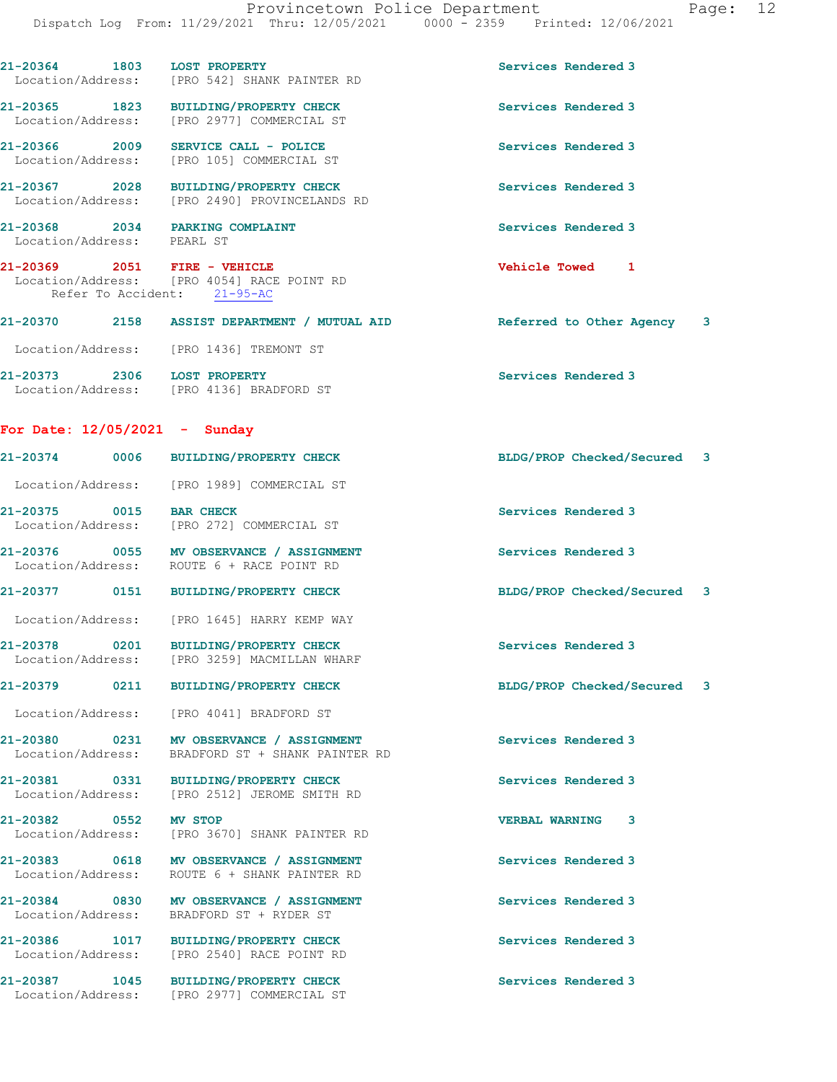| 21-20364 1803 LOST PROPERTY                                                  | Location/Address: [PRO 542] SHANK PAINTER RD                                                              | Services Rendered 3         |   |
|------------------------------------------------------------------------------|-----------------------------------------------------------------------------------------------------------|-----------------------------|---|
| Location/Address:                                                            | 21-20365 1823 BUILDING/PROPERTY CHECK<br>[PRO 2977] COMMERCIAL ST                                         | Services Rendered 3         |   |
| 21-20366 2009                                                                | SERVICE CALL - POLICE<br>Location/Address: [PRO 105] COMMERCIAL ST                                        | Services Rendered 3         |   |
|                                                                              | 21-20367 2028 BUILDING/PROPERTY CHECK<br>Location/Address: [PRO 2490] PROVINCELANDS RD                    | Services Rendered 3         |   |
| 21-20368 2034 PARKING COMPLAINT<br>Location/Address: PEARL ST                |                                                                                                           | Services Rendered 3         |   |
|                                                                              | 21-20369 2051 FIRE - VEHICLE<br>Location/Address: [PRO 4054] RACE POINT RD<br>Refer To Accident: 21-95-AC | Vehicle Towed 1             |   |
|                                                                              | 21-20370 2158 ASSIST DEPARTMENT / MUTUAL AID                                                              | Referred to Other Agency    | 3 |
|                                                                              | Location/Address: [PRO 1436] TREMONT ST                                                                   |                             |   |
| 21-20373 2306 LOST PROPERTY                                                  | Location/Address: [PRO 4136] BRADFORD ST                                                                  | Services Rendered 3         |   |
| For Date: $12/05/2021$ - Sunday                                              |                                                                                                           |                             |   |
|                                                                              | 21-20374 0006 BUILDING/PROPERTY CHECK                                                                     | BLDG/PROP Checked/Secured 3 |   |
|                                                                              | Location/Address: [PRO 1989] COMMERCIAL ST                                                                |                             |   |
| 21-20375 0015 BAR CHECK                                                      | Location/Address: [PRO 272] COMMERCIAL ST                                                                 | Services Rendered 3         |   |
|                                                                              | 21-20376 0055 MV OBSERVANCE / ASSIGNMENT<br>Location/Address: ROUTE 6 + RACE POINT RD                     | Services Rendered 3         |   |
|                                                                              | 21-20377 0151 BUILDING/PROPERTY CHECK                                                                     | BLDG/PROP Checked/Secured 3 |   |
|                                                                              | Location/Address: [PRO 1645] HARRY KEMP WAY                                                               |                             |   |
| 21-20378<br>0201                                                             | BUILDING/PROPERTY CHECK<br>Location/Address: [PRO 3259] MACMILLAN WHARF                                   | Services Rendered 3         |   |
| 21-20379                                                                     | 0211 BUILDING/PROPERTY CHECK                                                                              | BLDG/PROP Checked/Secured   | 3 |
|                                                                              |                                                                                                           |                             |   |
| Location/Address:                                                            | [PRO 4041] BRADFORD ST                                                                                    |                             |   |
| Location/Address:                                                            | 21-20380 0231 MV OBSERVANCE / ASSIGNMENT<br>BRADFORD ST + SHANK PAINTER RD                                | Services Rendered 3         |   |
|                                                                              | BUILDING/PROPERTY CHECK<br>Location/Address: [PRO 2512] JEROME SMITH RD                                   | Services Rendered 3         |   |
| Location/Address:                                                            | [PRO 3670] SHANK PAINTER RD                                                                               | <b>VERBAL WARNING</b><br>3  |   |
| Location/Address:                                                            | 21-20383 0618 MV OBSERVANCE / ASSIGNMENT<br>ROUTE 6 + SHANK PAINTER RD                                    | Services Rendered 3         |   |
| Location/Address:                                                            | 21-20384 0830 MV OBSERVANCE / ASSIGNMENT<br>BRADFORD ST + RYDER ST                                        | Services Rendered 3         |   |
| 21-20381 0331<br>21-20382 0552 MV STOP<br>21-20386 1017<br>Location/Address: | <b>BUILDING/PROPERTY CHECK</b><br>[PRO 2540] RACE POINT RD                                                | Services Rendered 3         |   |